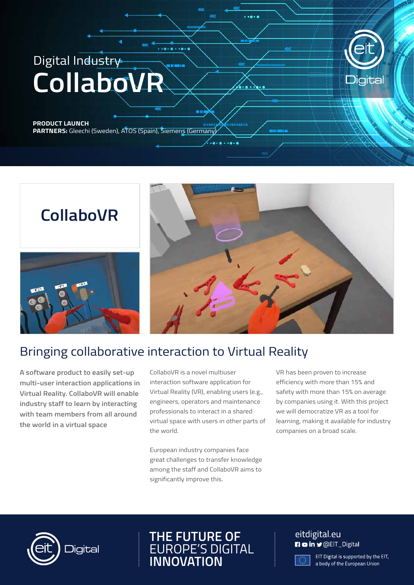# Digital Industry **CollaboVR**

## **PRODUCT LAUNCH**



**PARTNERS:** Gleechi (Sweden), ATOS (Spain), Siemens (Germany)

# **CollaboVR**





## Bringing collaborative interaction to Virtual Reality

**A software product to easily set-up multi-user interaction applications in Virtual Reality. CollaboVR will enable industry staff to learn by interacting with team members from all around the world in a virtual space** 

CollaboVR is a novel multiuser interaction software application for Virtual Reality (VR), enabling users (e.g., engineers, operators and maintenance professionals to interact in a shared virtual space with users in other parts of the world.

European industry companies face great challenges to transfer knowledge among the staff and CollaboVR aims to significantly improve this.

VR has been proven to increase efficiency with more than 15% and safety with more than 15% on average by companies using it. With this project we will democratize VR as a tool for learning, making it available for industry companies on a broad scale.



### **THE FUTURE OF** EUROPE'S DIGITAL **INNOVATION**

### eitdigital.eu **n** o in y @EIT\_Digital

EIT Digital is supported by the EIT, a body of the European Union